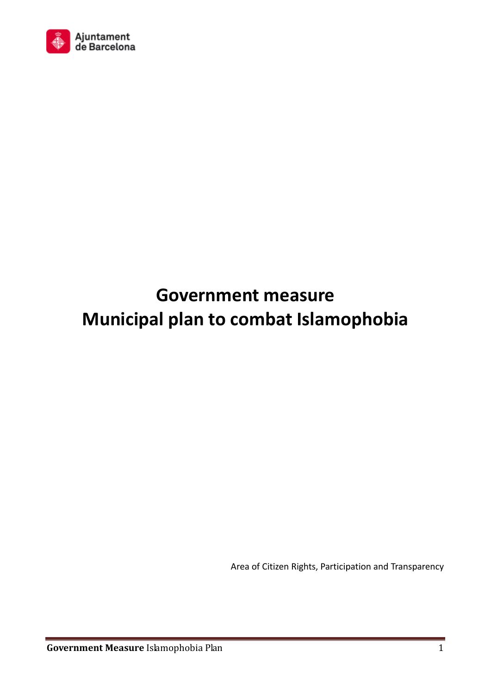

# **Government measure Municipal plan to combat Islamophobia**

Area of Citizen Rights, Participation and Transparency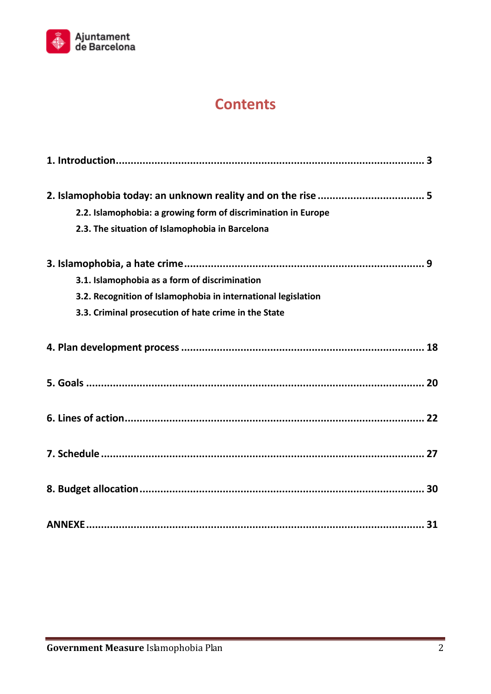

# **Contents**

| 2.2. Islamophobia: a growing form of discrimination in Europe |
|---------------------------------------------------------------|
| 2.3. The situation of Islamophobia in Barcelona               |
|                                                               |
| 3.1. Islamophobia as a form of discrimination                 |
| 3.2. Recognition of Islamophobia in international legislation |
| 3.3. Criminal prosecution of hate crime in the State          |
|                                                               |
|                                                               |
|                                                               |
|                                                               |
|                                                               |
|                                                               |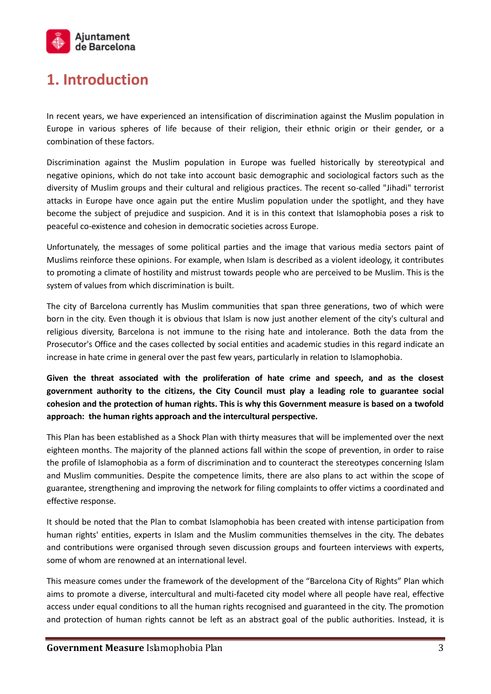

## **1. Introduction**

In recent years, we have experienced an intensification of discrimination against the Muslim population in Europe in various spheres of life because of their religion, their ethnic origin or their gender, or a combination of these factors.

Discrimination against the Muslim population in Europe was fuelled historically by stereotypical and negative opinions, which do not take into account basic demographic and sociological factors such as the diversity of Muslim groups and their cultural and religious practices. The recent so-called "Jihadi" terrorist attacks in Europe have once again put the entire Muslim population under the spotlight, and they have become the subject of prejudice and suspicion. And it is in this context that Islamophobia poses a risk to peaceful co-existence and cohesion in democratic societies across Europe.

Unfortunately, the messages of some political parties and the image that various media sectors paint of Muslims reinforce these opinions. For example, when Islam is described as a violent ideology, it contributes to promoting a climate of hostility and mistrust towards people who are perceived to be Muslim. This is the system of values from which discrimination is built.

The city of Barcelona currently has Muslim communities that span three generations, two of which were born in the city. Even though it is obvious that Islam is now just another element of the city's cultural and religious diversity, Barcelona is not immune to the rising hate and intolerance. Both the data from the Prosecutor's Office and the cases collected by social entities and academic studies in this regard indicate an increase in hate crime in general over the past few years, particularly in relation to Islamophobia.

**Given the threat associated with the proliferation of hate crime and speech, and as the closest government authority to the citizens, the City Council must play a leading role to guarantee social cohesion and the protection of human rights. This is why this Government measure is based on a twofold approach: the human rights approach and the intercultural perspective.** 

This Plan has been established as a Shock Plan with thirty measures that will be implemented over the next eighteen months. The majority of the planned actions fall within the scope of prevention, in order to raise the profile of Islamophobia as a form of discrimination and to counteract the stereotypes concerning Islam and Muslim communities. Despite the competence limits, there are also plans to act within the scope of guarantee, strengthening and improving the network for filing complaints to offer victims a coordinated and effective response.

It should be noted that the Plan to combat Islamophobia has been created with intense participation from human rights' entities, experts in Islam and the Muslim communities themselves in the city. The debates and contributions were organised through seven discussion groups and fourteen interviews with experts, some of whom are renowned at an international level.

This measure comes under the framework of the development of the "Barcelona City of Rights" Plan which aims to promote a diverse, intercultural and multi-faceted city model where all people have real, effective access under equal conditions to all the human rights recognised and guaranteed in the city. The promotion and protection of human rights cannot be left as an abstract goal of the public authorities. Instead, it is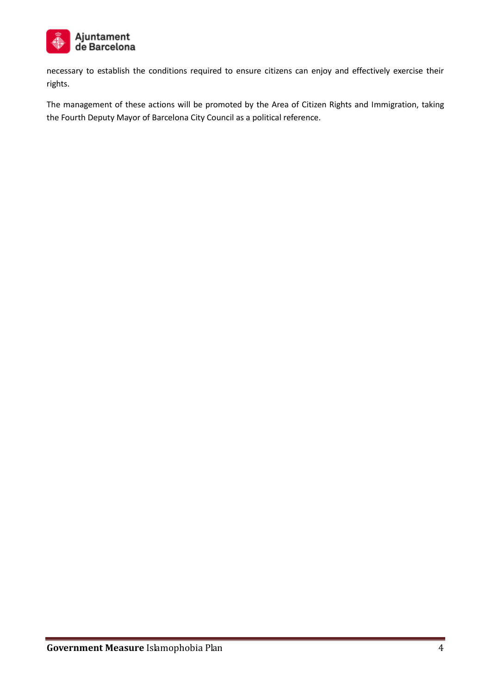

necessary to establish the conditions required to ensure citizens can enjoy and effectively exercise their rights.

The management of these actions will be promoted by the Area of Citizen Rights and Immigration, taking the Fourth Deputy Mayor of Barcelona City Council as a political reference.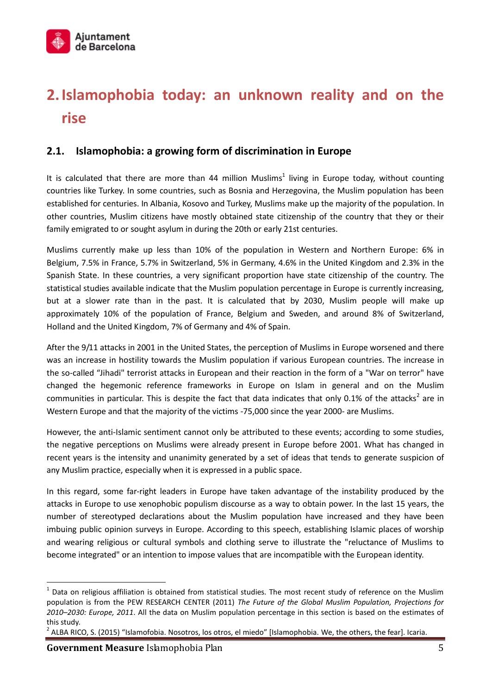# **2.Islamophobia today: an unknown reality and on the rise**

## **2.1. Islamophobia: a growing form of discrimination in Europe**

It is calculated that there are more than 44 million Muslims<sup>1</sup> living in Europe today, without counting countries like Turkey. In some countries, such as Bosnia and Herzegovina, the Muslim population has been established for centuries. In Albania, Kosovo and Turkey, Muslims make up the majority of the population. In other countries, Muslim citizens have mostly obtained state citizenship of the country that they or their family emigrated to or sought asylum in during the 20th or early 21st centuries.

Muslims currently make up less than 10% of the population in Western and Northern Europe: 6% in Belgium, 7.5% in France, 5.7% in Switzerland, 5% in Germany, 4.6% in the United Kingdom and 2.3% in the Spanish State. In these countries, a very significant proportion have state citizenship of the country. The statistical studies available indicate that the Muslim population percentage in Europe is currently increasing, but at a slower rate than in the past. It is calculated that by 2030, Muslim people will make up approximately 10% of the population of France, Belgium and Sweden, and around 8% of Switzerland, Holland and the United Kingdom, 7% of Germany and 4% of Spain.

After the 9/11 attacks in 2001 in the United States, the perception of Muslims in Europe worsened and there was an increase in hostility towards the Muslim population if various European countries. The increase in the so-called "Jihadi" terrorist attacks in European and their reaction in the form of a "War on terror" have changed the hegemonic reference frameworks in Europe on Islam in general and on the Muslim communities in particular. This is despite the fact that data indicates that only 0.1% of the attacks<sup>2</sup> are in Western Europe and that the majority of the victims -75,000 since the year 2000- are Muslims.

However, the anti-Islamic sentiment cannot only be attributed to these events; according to some studies, the negative perceptions on Muslims were already present in Europe before 2001. What has changed in recent years is the intensity and unanimity generated by a set of ideas that tends to generate suspicion of any Muslim practice, especially when it is expressed in a public space.

In this regard, some far-right leaders in Europe have taken advantage of the instability produced by the attacks in Europe to use xenophobic populism discourse as a way to obtain power. In the last 15 years, the number of stereotyped declarations about the Muslim population have increased and they have been imbuing public opinion surveys in Europe. According to this speech, establishing Islamic places of worship and wearing religious or cultural symbols and clothing serve to illustrate the "reluctance of Muslims to become integrated" or an intention to impose values that are incompatible with the European identity.

 $1$  Data on religious affiliation is obtained from statistical studies. The most recent study of reference on the Muslim population is from the PEW RESEARCH CENTER (2011) *The Future of the Global Muslim Population, Projections for 2010–2030: Europe, 2011*. All the data on Muslim population percentage in this section is based on the estimates of this study.

 $^2$  ALBA RICO, S. (2015) "Islamofobia. Nosotros, los otros, el miedo" [Islamophobia. We, the others, the fear]. Icaria.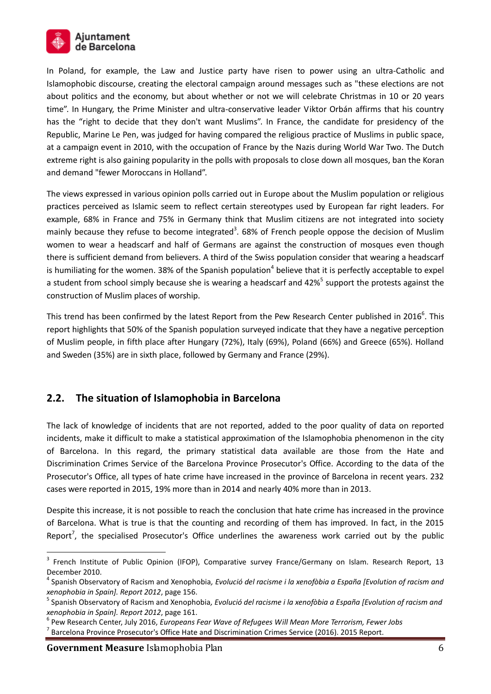

In Poland, for example, the Law and Justice party have risen to power using an ultra-Catholic and Islamophobic discourse, creating the electoral campaign around messages such as "these elections are not about politics and the economy, but about whether or not we will celebrate Christmas in 10 or 20 years time". In Hungary, the Prime Minister and ultra-conservative leader Viktor Orbán affirms that his country has the "right to decide that they don't want Muslims". In France, the candidate for presidency of the Republic, Marine Le Pen, was judged for having compared the religious practice of Muslims in public space, at a campaign event in 2010, with the occupation of France by the Nazis during World War Two. The Dutch extreme right is also gaining popularity in the polls with proposals to close down all mosques, ban the Koran and demand "fewer Moroccans in Holland".

The views expressed in various opinion polls carried out in Europe about the Muslim population or religious practices perceived as Islamic seem to reflect certain stereotypes used by European far right leaders. For example, 68% in France and 75% in Germany think that Muslim citizens are not integrated into society mainly because they refuse to become integrated<sup>3</sup>. 68% of French people oppose the decision of Muslim women to wear a headscarf and half of Germans are against the construction of mosques even though there is sufficient demand from believers. A third of the Swiss population consider that wearing a headscarf is humiliating for the women. 38% of the Spanish population<sup>4</sup> believe that it is perfectly acceptable to expel a student from school simply because she is wearing a headscarf and 42%<sup>5</sup> support the protests against the construction of Muslim places of worship.

This trend has been confirmed by the latest Report from the Pew Research Center published in 2016<sup>6</sup>. This report highlights that 50% of the Spanish population surveyed indicate that they have a negative perception of Muslim people, in fifth place after Hungary (72%), Italy (69%), Poland (66%) and Greece (65%). Holland and Sweden (35%) are in sixth place, followed by Germany and France (29%).

## **2.2. The situation of Islamophobia in Barcelona**

The lack of knowledge of incidents that are not reported, added to the poor quality of data on reported incidents, make it difficult to make a statistical approximation of the Islamophobia phenomenon in the city of Barcelona. In this regard, the primary statistical data available are those from the Hate and Discrimination Crimes Service of the Barcelona Province Prosecutor's Office. According to the data of the Prosecutor's Office, all types of hate crime have increased in the province of Barcelona in recent years. 232 cases were reported in 2015, 19% more than in 2014 and nearly 40% more than in 2013.

Despite this increase, it is not possible to reach the conclusion that hate crime has increased in the province of Barcelona. What is true is that the counting and recording of them has improved. In fact, in the 2015 Report<sup>7</sup>, the specialised Prosecutor's Office underlines the awareness work carried out by the public

**Government Measure** Islamophobia Plan 6 and 6 and 6 and 6 and 6 and 6 and 6 and 6 and 6 and 6 and 6 and 6 and 6 and 6 and 6 and 6 and 6 and 6 and 6 and 6 and 6 and 6 and 6 and 6 and 6 and 6 and 6 and 6 and 6 and 6 and 6 a

<sup>&</sup>lt;sup>3</sup> French Institute of Public Opinion (IFOP), Comparative survey France/Germany on Islam. Research Report, 13 December 2010.

<sup>4</sup> Spanish Observatory of Racism and Xenophobia*, Evolució del racisme i la xenofòbia a España [Evolution of racism and xenophobia in Spain]. Report 2012*, page 156.

<sup>5</sup> Spanish Observatory of Racism and Xenophobia*, Evolució del racisme i la xenofòbia a España [Evolution of racism and xenophobia in Spain]. Report 2012*, page 161.

<sup>6</sup> Pew Research Center, July 2016, *Europeans Fear Wave of Refugees Will Mean More Terrorism, Fewer Jobs*

<sup>7</sup> Barcelona Province Prosecutor's Office Hate and Discrimination Crimes Service (2016). 2015 Report.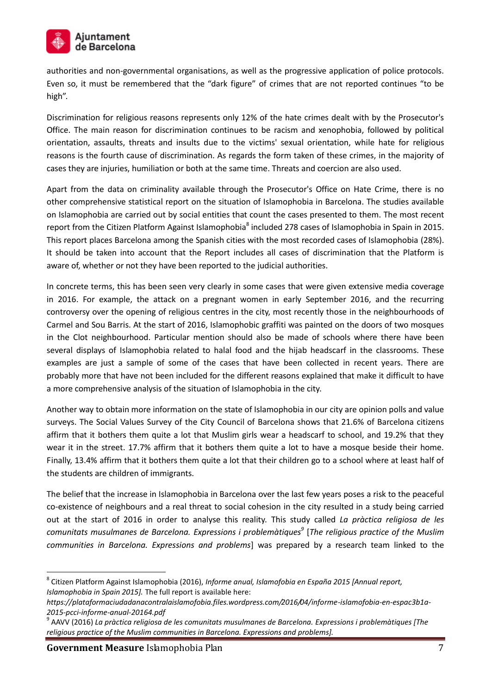

authorities and non-governmental organisations, as well as the progressive application of police protocols. Even so, it must be remembered that the "dark figure" of crimes that are not reported continues "to be high".

Discrimination for religious reasons represents only 12% of the hate crimes dealt with by the Prosecutor's Office. The main reason for discrimination continues to be racism and xenophobia, followed by political orientation, assaults, threats and insults due to the victims' sexual orientation, while hate for religious reasons is the fourth cause of discrimination. As regards the form taken of these crimes, in the majority of cases they are injuries, humiliation or both at the same time. Threats and coercion are also used.

Apart from the data on criminality available through the Prosecutor's Office on Hate Crime, there is no other comprehensive statistical report on the situation of Islamophobia in Barcelona. The studies available on Islamophobia are carried out by social entities that count the cases presented to them. The most recent report from the Citizen Platform Against Islamophobia<sup>8</sup> included 278 cases of Islamophobia in Spain in 2015. This report places Barcelona among the Spanish cities with the most recorded cases of Islamophobia (28%). It should be taken into account that the Report includes all cases of discrimination that the Platform is aware of, whether or not they have been reported to the judicial authorities.

In concrete terms, this has been seen very clearly in some cases that were given extensive media coverage in 2016. For example, the attack on a pregnant women in early September 2016, and the recurring controversy over the opening of religious centres in the city, most recently those in the neighbourhoods of Carmel and Sou Barris. At the start of 2016, Islamophobic graffiti was painted on the doors of two mosques in the Clot neighbourhood. Particular mention should also be made of schools where there have been several displays of Islamophobia related to halal food and the hijab headscarf in the classrooms. These examples are just a sample of some of the cases that have been collected in recent years. There are probably more that have not been included for the different reasons explained that make it difficult to have a more comprehensive analysis of the situation of Islamophobia in the city.

Another way to obtain more information on the state of Islamophobia in our city are opinion polls and value surveys. The Social Values Survey of the City Council of Barcelona shows that 21.6% of Barcelona citizens affirm that it bothers them quite a lot that Muslim girls wear a headscarf to school, and 19.2% that they wear it in the street. 17.7% affirm that it bothers them quite a lot to have a mosque beside their home. Finally, 13.4% affirm that it bothers them quite a lot that their children go to a school where at least half of the students are children of immigrants.

The belief that the increase in Islamophobia in Barcelona over the last few years poses a risk to the peaceful co-existence of neighbours and a real threat to social cohesion in the city resulted in a study being carried out at the start of 2016 in order to analyse this reality. This study called *La pràctica religiosa de les comunitats musulmanes de Barcelona. Expressions i problemàtiques<sup>9</sup>* [*The religious practice of the Muslim communities in Barcelona. Expressions and problems*] was prepared by a research team linked to the

**Government Measure** Islamophobia Plan 7

<sup>8</sup> Citizen Platform Against Islamophobia (2016), *Informe anual, Islamofobia en España 2015 [Annual report, Islamophobia in Spain 2015].* The full report is available here:

*https://plataformaciudadanacontralaislamofobia.files.wordpress.com/2016/04/informe-islamofobia-en-espac3b1a-2015-pcci-informe-anual-20164.pdf*

<sup>9</sup> AAVV (2016) *La pràctica religiosa de les comunitats musulmanes de Barcelona. Expressions i problemàtiques [The religious practice of the Muslim communities in Barcelona. Expressions and problems].*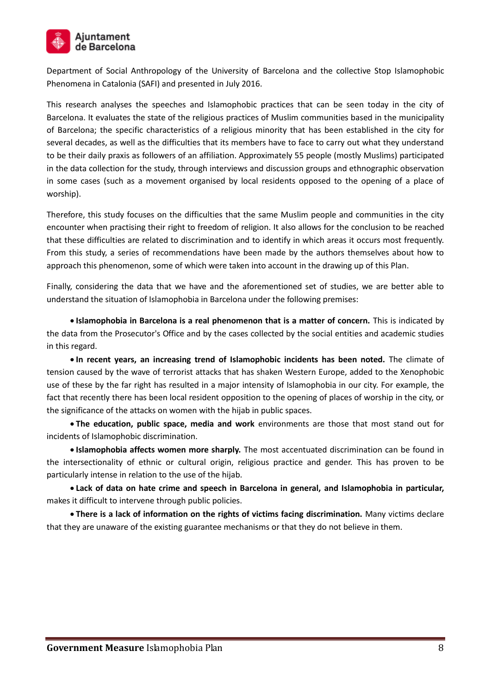

Department of Social Anthropology of the University of Barcelona and the collective Stop Islamophobic Phenomena in Catalonia (SAFI) and presented in July 2016.

This research analyses the speeches and Islamophobic practices that can be seen today in the city of Barcelona. It evaluates the state of the religious practices of Muslim communities based in the municipality of Barcelona; the specific characteristics of a religious minority that has been established in the city for several decades, as well as the difficulties that its members have to face to carry out what they understand to be their daily praxis as followers of an affiliation. Approximately 55 people (mostly Muslims) participated in the data collection for the study, through interviews and discussion groups and ethnographic observation in some cases (such as a movement organised by local residents opposed to the opening of a place of worship).

Therefore, this study focuses on the difficulties that the same Muslim people and communities in the city encounter when practising their right to freedom of religion. It also allows for the conclusion to be reached that these difficulties are related to discrimination and to identify in which areas it occurs most frequently. From this study, a series of recommendations have been made by the authors themselves about how to approach this phenomenon, some of which were taken into account in the drawing up of this Plan.

Finally, considering the data that we have and the aforementioned set of studies, we are better able to understand the situation of Islamophobia in Barcelona under the following premises:

 **Islamophobia in Barcelona is a real phenomenon that is a matter of concern.** This is indicated by the data from the Prosecutor's Office and by the cases collected by the social entities and academic studies in this regard.

 **In recent years, an increasing trend of Islamophobic incidents has been noted.** The climate of tension caused by the wave of terrorist attacks that has shaken Western Europe, added to the Xenophobic use of these by the far right has resulted in a major intensity of Islamophobia in our city. For example, the fact that recently there has been local resident opposition to the opening of places of worship in the city, or the significance of the attacks on women with the hijab in public spaces.

 **The education, public space, media and work** environments are those that most stand out for incidents of Islamophobic discrimination.

**Islamophobia affects women more sharply.** The most accentuated discrimination can be found in the intersectionality of ethnic or cultural origin, religious practice and gender. This has proven to be particularly intense in relation to the use of the hijab.

 **Lack of data on hate crime and speech in Barcelona in general, and Islamophobia in particular,** makes it difficult to intervene through public policies.

 **There is a lack of information on the rights of victims facing discrimination.** Many victims declare that they are unaware of the existing guarantee mechanisms or that they do not believe in them.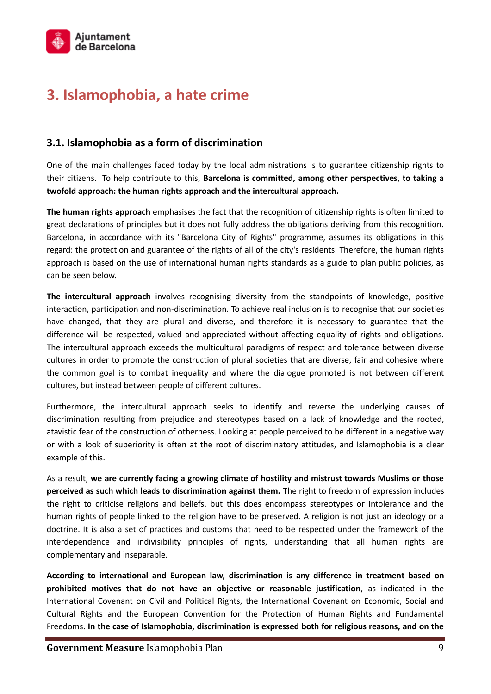

# **3. Islamophobia, a hate crime**

## **3.1. Islamophobia as a form of discrimination**

One of the main challenges faced today by the local administrations is to guarantee citizenship rights to their citizens. To help contribute to this, **Barcelona is committed, among other perspectives, to taking a twofold approach: the human rights approach and the intercultural approach.** 

**The human rights approach** emphasises the fact that the recognition of citizenship rights is often limited to great declarations of principles but it does not fully address the obligations deriving from this recognition. Barcelona, in accordance with its "Barcelona City of Rights" programme, assumes its obligations in this regard: the protection and guarantee of the rights of all of the city's residents. Therefore, the human rights approach is based on the use of international human rights standards as a guide to plan public policies, as can be seen below.

**The intercultural approach** involves recognising diversity from the standpoints of knowledge, positive interaction, participation and non-discrimination. To achieve real inclusion is to recognise that our societies have changed, that they are plural and diverse, and therefore it is necessary to guarantee that the difference will be respected, valued and appreciated without affecting equality of rights and obligations. The intercultural approach exceeds the multicultural paradigms of respect and tolerance between diverse cultures in order to promote the construction of plural societies that are diverse, fair and cohesive where the common goal is to combat inequality and where the dialogue promoted is not between different cultures, but instead between people of different cultures.

Furthermore, the intercultural approach seeks to identify and reverse the underlying causes of discrimination resulting from prejudice and stereotypes based on a lack of knowledge and the rooted, atavistic fear of the construction of otherness. Looking at people perceived to be different in a negative way or with a look of superiority is often at the root of discriminatory attitudes, and Islamophobia is a clear example of this.

As a result, **we are currently facing a growing climate of hostility and mistrust towards Muslims or those perceived as such which leads to discrimination against them.** The right to freedom of expression includes the right to criticise religions and beliefs, but this does encompass stereotypes or intolerance and the human rights of people linked to the religion have to be preserved. A religion is not just an ideology or a doctrine. It is also a set of practices and customs that need to be respected under the framework of the interdependence and indivisibility principles of rights, understanding that all human rights are complementary and inseparable.

**According to international and European law, discrimination is any difference in treatment based on prohibited motives that do not have an objective or reasonable justification**, as indicated in the International Covenant on Civil and Political Rights, the International Covenant on Economic, Social and Cultural Rights and the European Convention for the Protection of Human Rights and Fundamental Freedoms. **In the case of Islamophobia, discrimination is expressed both for religious reasons, and on the**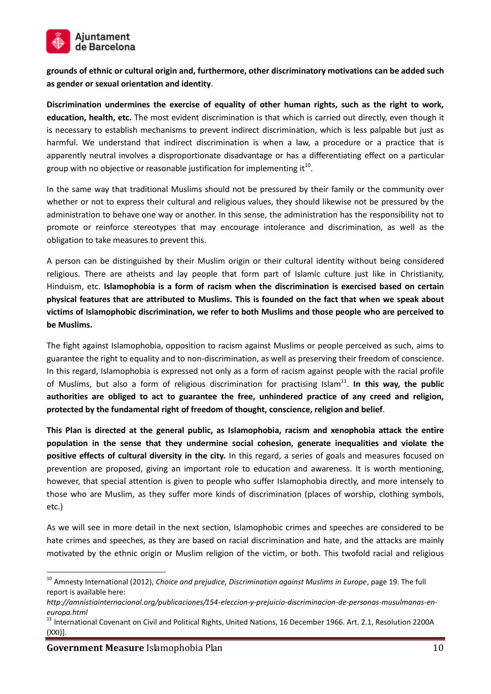

**grounds of ethnic or cultural origin and, furthermore, other discriminatory motivations can be added such as gender or sexual orientation and identity**.

**Discrimination undermines the exercise of equality of other human rights, such as the right to work, education, health, etc.** The most evident discrimination is that which is carried out directly, even though it is necessary to establish mechanisms to prevent indirect discrimination, which is less palpable but just as harmful. We understand that indirect discrimination is when a law, a procedure or a practice that is apparently neutral involves a disproportionate disadvantage or has a differentiating effect on a particular group with no objective or reasonable justification for implementing it<sup>10</sup>.

In the same way that traditional Muslims should not be pressured by their family or the community over whether or not to express their cultural and religious values, they should likewise not be pressured by the administration to behave one way or another. In this sense, the administration has the responsibility not to promote or reinforce stereotypes that may encourage intolerance and discrimination, as well as the obligation to take measures to prevent this.

A person can be distinguished by their Muslim origin or their cultural identity without being considered religious. There are atheists and lay people that form part of Islamic culture just like in Christianity, Hinduism, etc. **Islamophobia is a form of racism when the discrimination is exercised based on certain physical features that are attributed to Muslims. This is founded on the fact that when we speak about victims of Islamophobic discrimination, we refer to both Muslims and those people who are perceived to be Muslims.**

The fight against Islamophobia, opposition to racism against Muslims or people perceived as such, aims to guarantee the right to equality and to non-discrimination, as well as preserving their freedom of conscience. In this regard, Islamophobia is expressed not only as a form of racism against people with the racial profile of Muslims, but also a form of religious discrimination for practising Islam<sup>11</sup>. In this way, the public **authorities are obliged to act to guarantee the free, unhindered practice of any creed and religion, protected by the fundamental right of freedom of thought, conscience, religion and belief**.

**This Plan is directed at the general public, as Islamophobia, racism and xenophobia attack the entire population in the sense that they undermine social cohesion, generate inequalities and violate the positive effects of cultural diversity in the city.** In this regard, a series of goals and measures focused on prevention are proposed, giving an important role to education and awareness. It is worth mentioning, however, that special attention is given to people who suffer Islamophobia directly, and more intensely to those who are Muslim, as they suffer more kinds of discrimination (places of worship, clothing symbols, etc.)

As we will see in more detail in the next section, Islamophobic crimes and speeches are considered to be hate crimes and speeches, as they are based on racial discrimination and hate, and the attacks are mainly motivated by the ethnic origin or Muslim religion of the victim, or both. This twofold racial and religious

<sup>10</sup> Amnesty International (2012), *Choice and prejudice, Discrimination against Muslims in Europe*, page 19. The full report is available here:

*http://amnistiainternacional.org/publicaciones/154-eleccion-y-prejuicio-discriminacion-de-personas-musulmanas-eneuropa.html*

 $11$  International Covenant on Civil and Political Rights, United Nations, 16 December 1966. Art. 2.1, Resolution 2200A (XXI)].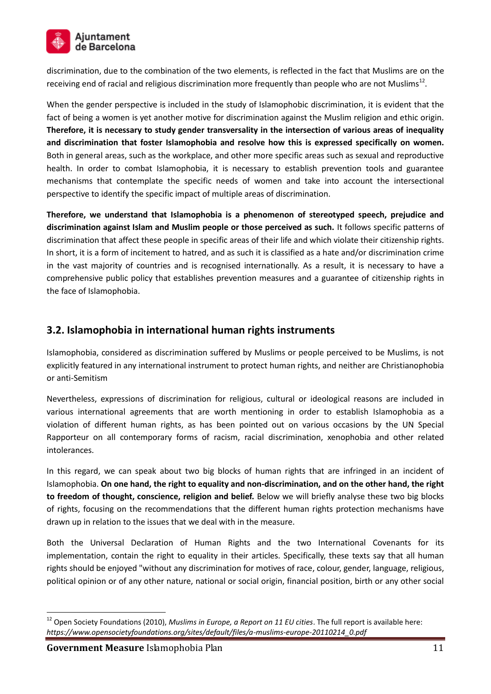

discrimination, due to the combination of the two elements, is reflected in the fact that Muslims are on the receiving end of racial and religious discrimination more frequently than people who are not Muslims<sup>12</sup>.

When the gender perspective is included in the study of Islamophobic discrimination, it is evident that the fact of being a women is yet another motive for discrimination against the Muslim religion and ethic origin. **Therefore, it is necessary to study gender transversality in the intersection of various areas of inequality and discrimination that foster Islamophobia and resolve how this is expressed specifically on women.**  Both in general areas, such as the workplace, and other more specific areas such as sexual and reproductive health. In order to combat Islamophobia, it is necessary to establish prevention tools and guarantee mechanisms that contemplate the specific needs of women and take into account the intersectional perspective to identify the specific impact of multiple areas of discrimination.

**Therefore, we understand that Islamophobia is a phenomenon of stereotyped speech, prejudice and discrimination against Islam and Muslim people or those perceived as such.** It follows specific patterns of discrimination that affect these people in specific areas of their life and which violate their citizenship rights. In short, it is a form of incitement to hatred, and as such it is classified as a hate and/or discrimination crime in the vast majority of countries and is recognised internationally. As a result, it is necessary to have a comprehensive public policy that establishes prevention measures and a guarantee of citizenship rights in the face of Islamophobia.

## **3.2. Islamophobia in international human rights instruments**

Islamophobia, considered as discrimination suffered by Muslims or people perceived to be Muslims, is not explicitly featured in any international instrument to protect human rights, and neither are Christianophobia or anti-Semitism

Nevertheless, expressions of discrimination for religious, cultural or ideological reasons are included in various international agreements that are worth mentioning in order to establish Islamophobia as a violation of different human rights, as has been pointed out on various occasions by the UN Special Rapporteur on all contemporary forms of racism, racial discrimination, xenophobia and other related intolerances.

In this regard, we can speak about two big blocks of human rights that are infringed in an incident of Islamophobia. **On one hand, the right to equality and non-discrimination, and on the other hand, the right to freedom of thought, conscience, religion and belief.** Below we will briefly analyse these two big blocks of rights, focusing on the recommendations that the different human rights protection mechanisms have drawn up in relation to the issues that we deal with in the measure.

Both the Universal Declaration of Human Rights and the two International Covenants for its implementation, contain the right to equality in their articles. Specifically, these texts say that all human rights should be enjoyed "without any discrimination for motives of race, colour, gender, language, religious, political opinion or of any other nature, national or social origin, financial position, birth or any other social

<sup>12</sup> Open Society Foundations (2010), *Muslims in Europe, a Report on 11 EU cities*. The full report is available here: *https://www.opensocietyfoundations.org/sites/default/files/a-muslims-europe-20110214\_0.pdf*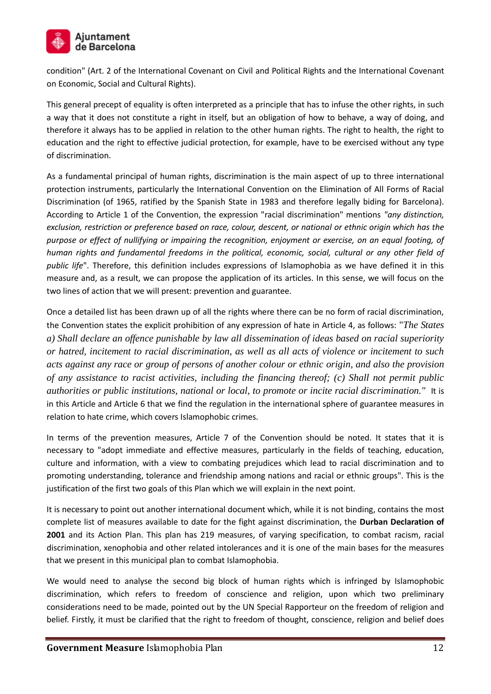

condition" (Art. 2 of the International Covenant on Civil and Political Rights and the International Covenant on Economic, Social and Cultural Rights).

This general precept of equality is often interpreted as a principle that has to infuse the other rights, in such a way that it does not constitute a right in itself, but an obligation of how to behave, a way of doing, and therefore it always has to be applied in relation to the other human rights. The right to health, the right to education and the right to effective judicial protection, for example, have to be exercised without any type of discrimination.

As a fundamental principal of human rights, discrimination is the main aspect of up to three international protection instruments, particularly the International Convention on the Elimination of All Forms of Racial Discrimination (of 1965, ratified by the Spanish State in 1983 and therefore legally biding for Barcelona). According to Article 1 of the Convention, the expression "racial discrimination" mentions *"any distinction, exclusion, restriction or preference based on race, colour, descent, or national or ethnic origin which has the purpose or effect of nullifying or impairing the recognition, enjoyment or exercise, on an equal footing, of human rights and fundamental freedoms in the political, economic, social, cultural or any other field of public life*". Therefore, this definition includes expressions of Islamophobia as we have defined it in this measure and, as a result, we can propose the application of its articles. In this sense, we will focus on the two lines of action that we will present: prevention and guarantee.

Once a detailed list has been drawn up of all the rights where there can be no form of racial discrimination, the Convention states the explicit prohibition of any expression of hate in Article 4, as follows: "*The States a) Shall declare an offence punishable by law all dissemination of ideas based on racial superiority or hatred, incitement to racial discrimination, as well as all acts of violence or incitement to such acts against any race or group of persons of another colour or ethnic origin, and also the provision of any assistance to racist activities, including the financing thereof; (c) Shall not permit public authorities or public institutions, national or local, to promote or incite racial discrimination."* It is in this Article and Article 6 that we find the regulation in the international sphere of guarantee measures in relation to hate crime, which covers Islamophobic crimes.

In terms of the prevention measures, Article 7 of the Convention should be noted. It states that it is necessary to "adopt immediate and effective measures, particularly in the fields of teaching, education, culture and information, with a view to combating prejudices which lead to racial discrimination and to promoting understanding, tolerance and friendship among nations and racial or ethnic groups". This is the justification of the first two goals of this Plan which we will explain in the next point.

It is necessary to point out another international document which, while it is not binding, contains the most complete list of measures available to date for the fight against discrimination, the **Durban Declaration of 2001** and its Action Plan. This plan has 219 measures, of varying specification, to combat racism, racial discrimination, xenophobia and other related intolerances and it is one of the main bases for the measures that we present in this municipal plan to combat Islamophobia.

We would need to analyse the second big block of human rights which is infringed by Islamophobic discrimination, which refers to freedom of conscience and religion, upon which two preliminary considerations need to be made, pointed out by the UN Special Rapporteur on the freedom of religion and belief. Firstly, it must be clarified that the right to freedom of thought, conscience, religion and belief does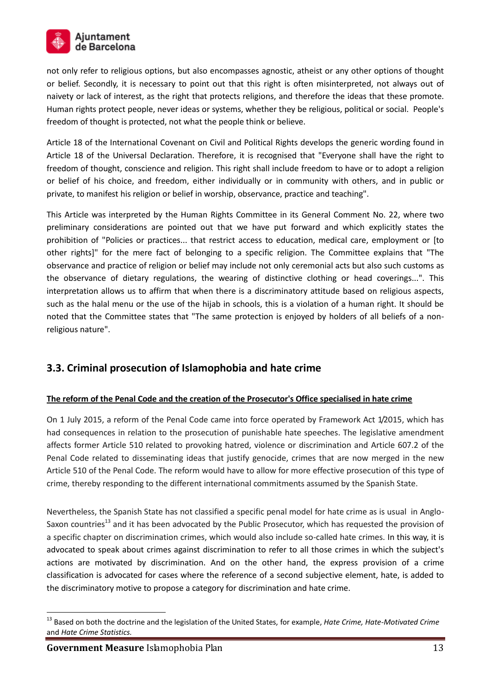

not only refer to religious options, but also encompasses agnostic, atheist or any other options of thought or belief. Secondly, it is necessary to point out that this right is often misinterpreted, not always out of naivety or lack of interest, as the right that protects religions, and therefore the ideas that these promote. Human rights protect people, never ideas or systems, whether they be religious, political or social. People's freedom of thought is protected, not what the people think or believe.

Article 18 of the International Covenant on Civil and Political Rights develops the generic wording found in Article 18 of the Universal Declaration. Therefore, it is recognised that "Everyone shall have the right to freedom of thought, conscience and religion. This right shall include freedom to have or to adopt a religion or belief of his choice, and freedom, either individually or in community with others, and in public or private, to manifest his religion or belief in worship, observance, practice and teaching".

This Article was interpreted by the Human Rights Committee in its General Comment No. 22, where two preliminary considerations are pointed out that we have put forward and which explicitly states the prohibition of "Policies or practices... that restrict access to education, medical care, employment or [to other rights]" for the mere fact of belonging to a specific religion. The Committee explains that "The observance and practice of religion or belief may include not only ceremonial acts but also such customs as the observance of dietary regulations, the wearing of distinctive clothing or head coverings...". This interpretation allows us to affirm that when there is a discriminatory attitude based on religious aspects, such as the halal menu or the use of the hijab in schools, this is a violation of a human right. It should be noted that the Committee states that "The same protection is enjoyed by holders of all beliefs of a nonreligious nature".

## **3.3. Criminal prosecution of Islamophobia and hate crime**

#### **The reform of the Penal Code and the creation of the Prosecutor's Office specialised in hate crime**

On 1 July 2015, a reform of the Penal Code came into force operated by Framework Act 1/2015, which has had consequences in relation to the prosecution of punishable hate speeches. The legislative amendment affects former Article 510 related to provoking hatred, violence or discrimination and Article 607.2 of the Penal Code related to disseminating ideas that justify genocide, crimes that are now merged in the new Article 510 of the Penal Code. The reform would have to allow for more effective prosecution of this type of crime, thereby responding to the different international commitments assumed by the Spanish State.

Nevertheless, the Spanish State has not classified a specific penal model for hate crime as is usual in Anglo-Saxon countries<sup>13</sup> and it has been advocated by the Public Prosecutor, which has requested the provision of a specific chapter on discrimination crimes, which would also include so-called hate crimes. In this way, it is advocated to speak about crimes against discrimination to refer to all those crimes in which the subject's actions are motivated by discrimination. And on the other hand, the express provision of a crime classification is advocated for cases where the reference of a second subjective element, hate, is added to the discriminatory motive to propose a category for discrimination and hate crime.

<sup>13</sup> Based on both the doctrine and the legislation of the United States, for example, *Hate Crime, Hate-Motivated Crime* and *Hate Crime Statistics.*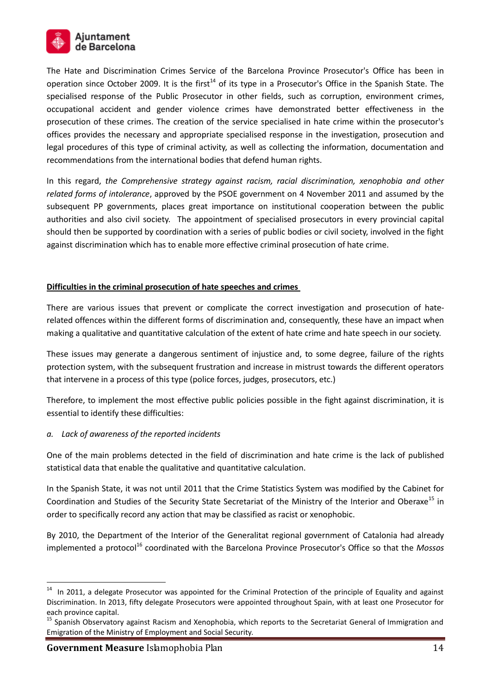

The Hate and Discrimination Crimes Service of the Barcelona Province Prosecutor's Office has been in operation since October 2009. It is the first<sup>14</sup> of its type in a Prosecutor's Office in the Spanish State. The specialised response of the Public Prosecutor in other fields, such as corruption, environment crimes, occupational accident and gender violence crimes have demonstrated better effectiveness in the prosecution of these crimes. The creation of the service specialised in hate crime within the prosecutor's offices provides the necessary and appropriate specialised response in the investigation, prosecution and legal procedures of this type of criminal activity, as well as collecting the information, documentation and recommendations from the international bodies that defend human rights.

In this regard, *the Comprehensive strategy against racism, racial discrimination, xenophobia and other related forms of intolerance*, approved by the PSOE government on 4 November 2011 and assumed by the subsequent PP governments, places great importance on institutional cooperation between the public authorities and also civil society. The appointment of specialised prosecutors in every provincial capital should then be supported by coordination with a series of public bodies or civil society, involved in the fight against discrimination which has to enable more effective criminal prosecution of hate crime.

#### **Difficulties in the criminal prosecution of hate speeches and crimes**

There are various issues that prevent or complicate the correct investigation and prosecution of haterelated offences within the different forms of discrimination and, consequently, these have an impact when making a qualitative and quantitative calculation of the extent of hate crime and hate speech in our society.

These issues may generate a dangerous sentiment of injustice and, to some degree, failure of the rights protection system, with the subsequent frustration and increase in mistrust towards the different operators that intervene in a process of this type (police forces, judges, prosecutors, etc.)

Therefore, to implement the most effective public policies possible in the fight against discrimination, it is essential to identify these difficulties:

#### *a. Lack of awareness of the reported incidents*

One of the main problems detected in the field of discrimination and hate crime is the lack of published statistical data that enable the qualitative and quantitative calculation.

In the Spanish State, it was not until 2011 that the Crime Statistics System was modified by the Cabinet for Coordination and Studies of the Security State Secretariat of the Ministry of the Interior and Oberaxe<sup>15</sup> in order to specifically record any action that may be classified as racist or xenophobic.

By 2010, the Department of the Interior of the Generalitat regional government of Catalonia had already implemented a protocol<sup>16</sup> coordinated with the Barcelona Province Prosecutor's Office so that the *Mossos* 

<sup>&</sup>lt;sup>14</sup> In 2011, a delegate Prosecutor was appointed for the Criminal Protection of the principle of Equality and against Discrimination. In 2013, fifty delegate Prosecutors were appointed throughout Spain, with at least one Prosecutor for each province capital.

<sup>&</sup>lt;sup>15</sup> Spanish Observatory against Racism and Xenophobia, which reports to the Secretariat General of Immigration and Emigration of the Ministry of Employment and Social Security.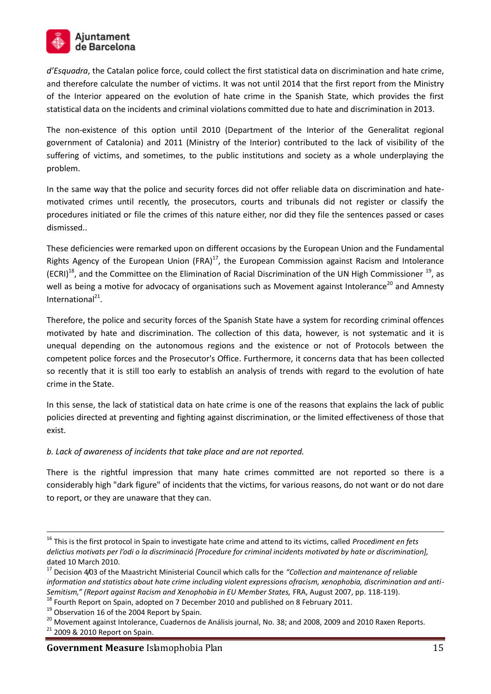

*d'Esquadra*, the Catalan police force, could collect the first statistical data on discrimination and hate crime, and therefore calculate the number of victims. It was not until 2014 that the first report from the Ministry of the Interior appeared on the evolution of hate crime in the Spanish State, which provides the first statistical data on the incidents and criminal violations committed due to hate and discrimination in 2013.

The non-existence of this option until 2010 (Department of the Interior of the Generalitat regional government of Catalonia) and 2011 (Ministry of the Interior) contributed to the lack of visibility of the suffering of victims, and sometimes, to the public institutions and society as a whole underplaying the problem.

In the same way that the police and security forces did not offer reliable data on discrimination and hatemotivated crimes until recently, the prosecutors, courts and tribunals did not register or classify the procedures initiated or file the crimes of this nature either, nor did they file the sentences passed or cases dismissed..

These deficiencies were remarked upon on different occasions by the European Union and the Fundamental Rights Agency of the European Union (FRA) $^{17}$ , the European Commission against Racism and Intolerance (ECRI)<sup>18</sup>, and the Committee on the Elimination of Racial Discrimination of the UN High Commissioner <sup>19</sup>, as well as being a motive for advocacy of organisations such as Movement against Intolerance<sup>20</sup> and Amnesty International<sup>21</sup>.

Therefore, the police and security forces of the Spanish State have a system for recording criminal offences motivated by hate and discrimination. The collection of this data, however, is not systematic and it is unequal depending on the autonomous regions and the existence or not of Protocols between the competent police forces and the Prosecutor's Office. Furthermore, it concerns data that has been collected so recently that it is still too early to establish an analysis of trends with regard to the evolution of hate crime in the State.

In this sense, the lack of statistical data on hate crime is one of the reasons that explains the lack of public policies directed at preventing and fighting against discrimination, or the limited effectiveness of those that exist.

*b. Lack of awareness of incidents that take place and are not reported.* 

There is the rightful impression that many hate crimes committed are not reported so there is a considerably high "dark figure" of incidents that the victims, for various reasons, do not want or do not dare to report, or they are unaware that they can.

<sup>16</sup> This is the first protocol in Spain to investigate hate crime and attend to its victims, called *Procediment en fets delictius motivats per l'odi o la discriminació [Procedure for criminal incidents motivated by hate or discrimination],*  dated 10 March 2010.

<sup>17</sup> Decision 4/03 of the Maastricht Ministerial Council which calls for the *"Collection and maintenance of reliable information and statistics about hate crime including violent expressions ofracism, xenophobia, discrimination and anti-Semitism," (Report against Racism and Xenophobia in EU Member States,* FRA, August 2007, pp. 118-119).

<sup>&</sup>lt;sup>18</sup> Fourth Report on Spain, adopted on 7 December 2010 and published on 8 February 2011.

<sup>&</sup>lt;sup>19</sup> Observation 16 of the 2004 Report by Spain.

<sup>&</sup>lt;sup>20</sup> Movement against Intolerance, Cuadernos de Análisis journal, No. 38; and 2008, 2009 and 2010 Raxen Reports.

<sup>21</sup> 2009 & 2010 Report on Spain.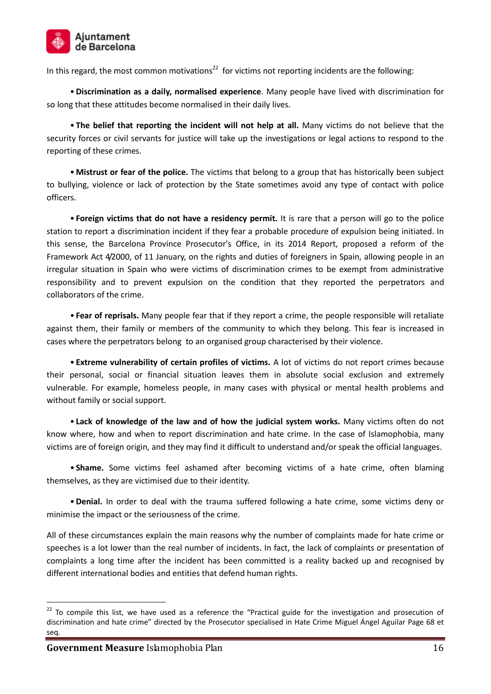

In this regard, the most common motivations<sup>22</sup> for victims not reporting incidents are the following:

•**Discrimination as a daily, normalised experience**. Many people have lived with discrimination for so long that these attitudes become normalised in their daily lives.

• **The belief that reporting the incident will not help at all.** Many victims do not believe that the security forces or civil servants for justice will take up the investigations or legal actions to respond to the reporting of these crimes.

•**Mistrust or fear of the police.** The victims that belong to a group that has historically been subject to bullying, violence or lack of protection by the State sometimes avoid any type of contact with police officers.

• **Foreign victims that do not have a residency permit.** It is rare that a person will go to the police station to report a discrimination incident if they fear a probable procedure of expulsion being initiated. In this sense, the Barcelona Province Prosecutor's Office, in its 2014 Report, proposed a reform of the Framework Act 4/2000, of 11 January, on the rights and duties of foreigners in Spain, allowing people in an irregular situation in Spain who were victims of discrimination crimes to be exempt from administrative responsibility and to prevent expulsion on the condition that they reported the perpetrators and collaborators of the crime.

• **Fear of reprisals.** Many people fear that if they report a crime, the people responsible will retaliate against them, their family or members of the community to which they belong. This fear is increased in cases where the perpetrators belong to an organised group characterised by their violence.

• **Extreme vulnerability of certain profiles of victims.** A lot of victims do not report crimes because their personal, social or financial situation leaves them in absolute social exclusion and extremely vulnerable. For example, homeless people, in many cases with physical or mental health problems and without family or social support.

• **Lack of knowledge of the law and of how the judicial system works.** Many victims often do not know where, how and when to report discrimination and hate crime. In the case of Islamophobia, many victims are of foreign origin, and they may find it difficult to understand and/or speak the official languages.

• **Shame.** Some victims feel ashamed after becoming victims of a hate crime, often blaming themselves, as they are victimised due to their identity.

•**Denial.** In order to deal with the trauma suffered following a hate crime, some victims deny or minimise the impact or the seriousness of the crime.

All of these circumstances explain the main reasons why the number of complaints made for hate crime or speeches is a lot lower than the real number of incidents. In fact, the lack of complaints or presentation of complaints a long time after the incident has been committed is a reality backed up and recognised by different international bodies and entities that defend human rights.

<sup>&</sup>lt;sup>22</sup> To compile this list, we have used as a reference the "Practical guide for the investigation and prosecution of discrimination and hate crime" directed by the Prosecutor specialised in Hate Crime Miguel Ángel Aguilar Page 68 et seq.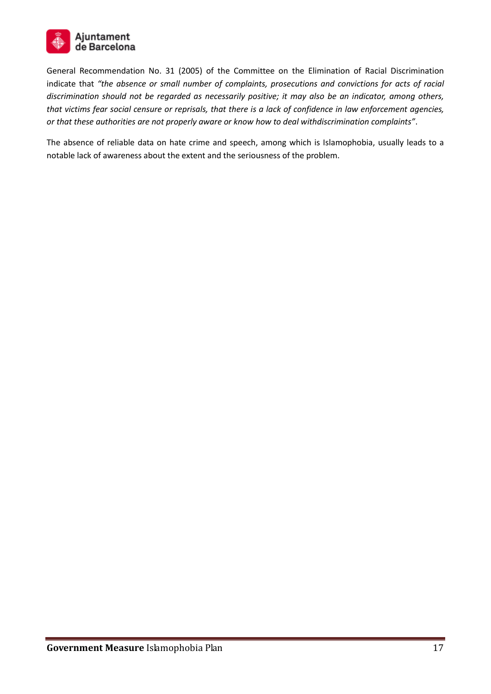

General Recommendation No. 31 (2005) of the Committee on the Elimination of Racial Discrimination indicate that *"the absence or small number of complaints, prosecutions and convictions for acts of racial discrimination should not be regarded as necessarily positive; it may also be an indicator, among others, that victims fear social censure or reprisals, that there is a lack of confidence in law enforcement agencies, or that these authorities are not properly aware or know how to deal withdiscrimination complaints"*.

The absence of reliable data on hate crime and speech, among which is Islamophobia, usually leads to a notable lack of awareness about the extent and the seriousness of the problem.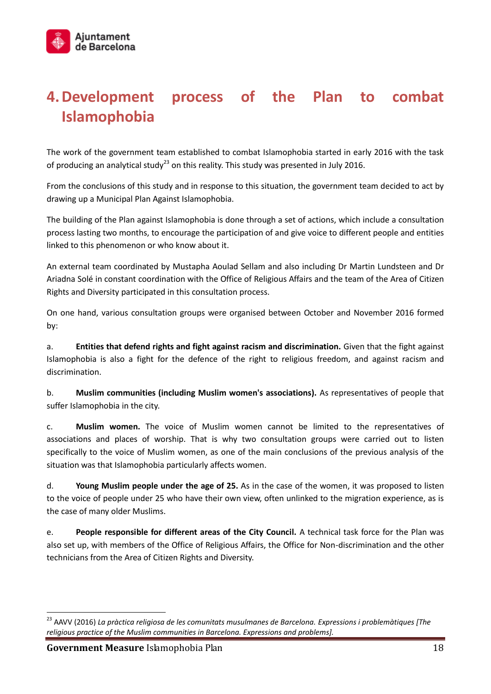# **4.Development process of the Plan to combat Islamophobia**

The work of the government team established to combat Islamophobia started in early 2016 with the task of producing an analytical study<sup>23</sup> on this reality. This study was presented in July 2016.

From the conclusions of this study and in response to this situation, the government team decided to act by drawing up a Municipal Plan Against Islamophobia.

The building of the Plan against Islamophobia is done through a set of actions, which include a consultation process lasting two months, to encourage the participation of and give voice to different people and entities linked to this phenomenon or who know about it.

An external team coordinated by Mustapha Aoulad Sellam and also including Dr Martin Lundsteen and Dr Ariadna Solé in constant coordination with the Office of Religious Affairs and the team of the Area of Citizen Rights and Diversity participated in this consultation process.

On one hand, various consultation groups were organised between October and November 2016 formed by:

a. **Entities that defend rights and fight against racism and discrimination.** Given that the fight against Islamophobia is also a fight for the defence of the right to religious freedom, and against racism and discrimination.

b. **Muslim communities (including Muslim women's associations).** As representatives of people that suffer Islamophobia in the city.

c. **Muslim women.** The voice of Muslim women cannot be limited to the representatives of associations and places of worship. That is why two consultation groups were carried out to listen specifically to the voice of Muslim women, as one of the main conclusions of the previous analysis of the situation was that Islamophobia particularly affects women.

d. **Young Muslim people under the age of 25.** As in the case of the women, it was proposed to listen to the voice of people under 25 who have their own view, often unlinked to the migration experience, as is the case of many older Muslims.

e. **People responsible for different areas of the City Council.** A technical task force for the Plan was also set up, with members of the Office of Religious Affairs, the Office for Non-discrimination and the other technicians from the Area of Citizen Rights and Diversity.

<sup>23</sup> AAVV (2016) *La pràctica religiosa de les comunitats musulmanes de Barcelona. Expressions i problemàtiques [The religious practice of the Muslim communities in Barcelona. Expressions and problems].*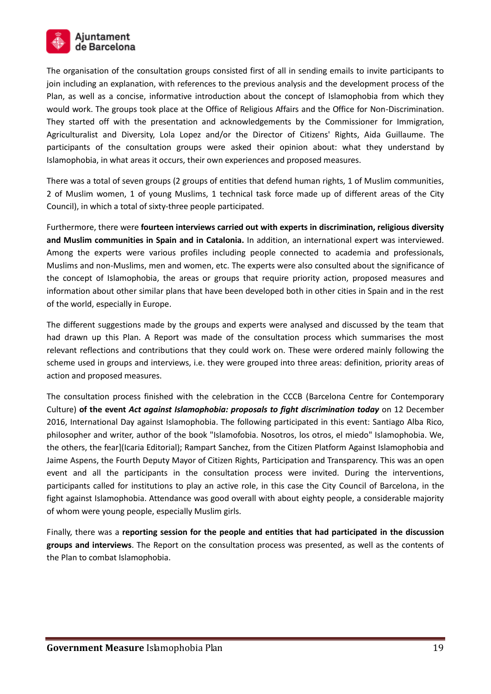

The organisation of the consultation groups consisted first of all in sending emails to invite participants to join including an explanation, with references to the previous analysis and the development process of the Plan, as well as a concise, informative introduction about the concept of Islamophobia from which they would work. The groups took place at the Office of Religious Affairs and the Office for Non-Discrimination. They started off with the presentation and acknowledgements by the Commissioner for Immigration, Agriculturalist and Diversity, Lola Lopez and/or the Director of Citizens' Rights, Aida Guillaume. The participants of the consultation groups were asked their opinion about: what they understand by Islamophobia, in what areas it occurs, their own experiences and proposed measures.

There was a total of seven groups (2 groups of entities that defend human rights, 1 of Muslim communities, 2 of Muslim women, 1 of young Muslims, 1 technical task force made up of different areas of the City Council), in which a total of sixty-three people participated.

Furthermore, there were **fourteen interviews carried out with experts in discrimination, religious diversity and Muslim communities in Spain and in Catalonia.** In addition, an international expert was interviewed. Among the experts were various profiles including people connected to academia and professionals, Muslims and non-Muslims, men and women, etc. The experts were also consulted about the significance of the concept of Islamophobia, the areas or groups that require priority action, proposed measures and information about other similar plans that have been developed both in other cities in Spain and in the rest of the world, especially in Europe.

The different suggestions made by the groups and experts were analysed and discussed by the team that had drawn up this Plan. A Report was made of the consultation process which summarises the most relevant reflections and contributions that they could work on. These were ordered mainly following the scheme used in groups and interviews, i.e. they were grouped into three areas: definition, priority areas of action and proposed measures.

The consultation process finished with the celebration in the CCCB (Barcelona Centre for Contemporary Culture) **of the event** *Act against Islamophobia: proposals to fight discrimination today* on 12 December 2016, International Day against Islamophobia. The following participated in this event: Santiago Alba Rico, philosopher and writer, author of the book "Islamofobia. Nosotros, los otros, el miedo" Islamophobia. We, the others, the fear](Icaria Editorial); Rampart Sanchez, from the Citizen Platform Against Islamophobia and Jaime Aspens, the Fourth Deputy Mayor of Citizen Rights, Participation and Transparency. This was an open event and all the participants in the consultation process were invited. During the interventions, participants called for institutions to play an active role, in this case the City Council of Barcelona, in the fight against Islamophobia. Attendance was good overall with about eighty people, a considerable majority of whom were young people, especially Muslim girls.

Finally, there was a **reporting session for the people and entities that had participated in the discussion groups and interviews**. The Report on the consultation process was presented, as well as the contents of the Plan to combat Islamophobia.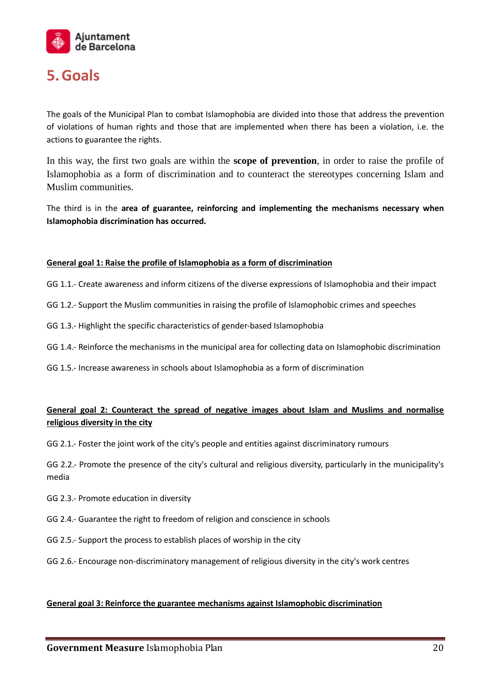

# **5.Goals**

The goals of the Municipal Plan to combat Islamophobia are divided into those that address the prevention of violations of human rights and those that are implemented when there has been a violation, i.e. the actions to guarantee the rights.

In this way, the first two goals are within the **scope of prevention**, in order to raise the profile of Islamophobia as a form of discrimination and to counteract the stereotypes concerning Islam and Muslim communities.

The third is in the **area of guarantee, reinforcing and implementing the mechanisms necessary when Islamophobia discrimination has occurred.**

#### **General goal 1: Raise the profile of Islamophobia as a form of discrimination**

- GG 1.1.- Create awareness and inform citizens of the diverse expressions of Islamophobia and their impact
- GG 1.2.- Support the Muslim communities in raising the profile of Islamophobic crimes and speeches
- GG 1.3.- Highlight the specific characteristics of gender-based Islamophobia
- GG 1.4.- Reinforce the mechanisms in the municipal area for collecting data on Islamophobic discrimination
- GG 1.5.- Increase awareness in schools about Islamophobia as a form of discrimination

## **General goal 2: Counteract the spread of negative images about Islam and Muslims and normalise religious diversity in the city**

GG 2.1.- Foster the joint work of the city's people and entities against discriminatory rumours

GG 2.2.- Promote the presence of the city's cultural and religious diversity, particularly in the municipality's media

- GG 2.3.- Promote education in diversity
- GG 2.4.- Guarantee the right to freedom of religion and conscience in schools
- GG 2.5.- Support the process to establish places of worship in the city
- GG 2.6.- Encourage non-discriminatory management of religious diversity in the city's work centres

#### **General goal 3: Reinforce the guarantee mechanisms against Islamophobic discrimination**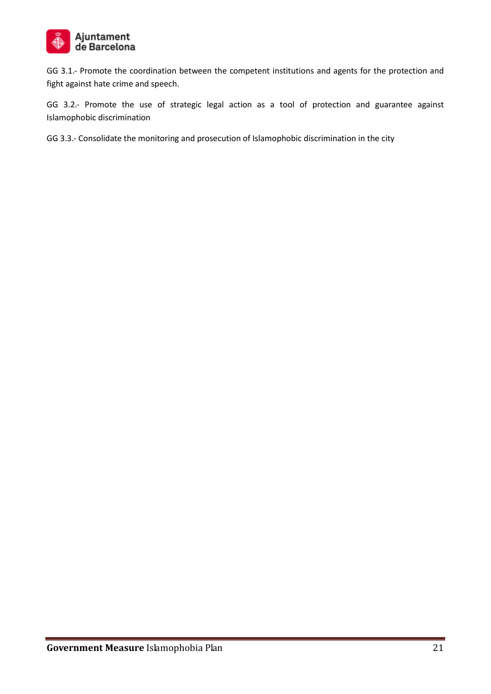

GG 3.1.- Promote the coordination between the competent institutions and agents for the protection and fight against hate crime and speech.

GG 3.2.- Promote the use of strategic legal action as a tool of protection and guarantee against Islamophobic discrimination

GG 3.3.- Consolidate the monitoring and prosecution of Islamophobic discrimination in the city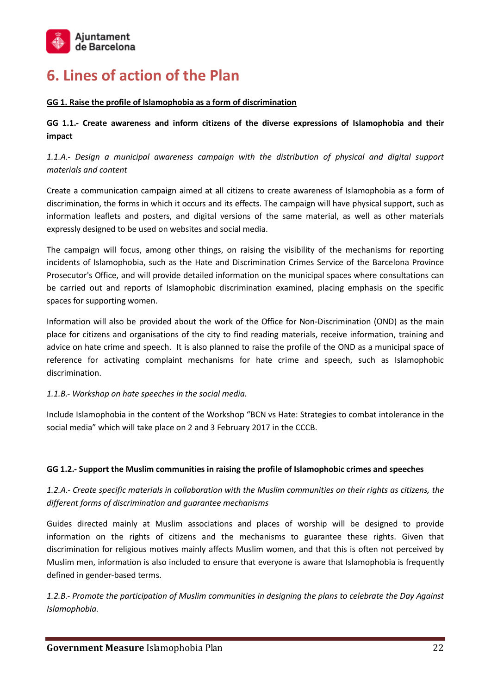

# **6. Lines of action of the Plan**

#### **GG 1. Raise the profile of Islamophobia as a form of discrimination**

**GG 1.1.- Create awareness and inform citizens of the diverse expressions of Islamophobia and their impact**

*1.1.A.- Design a municipal awareness campaign with the distribution of physical and digital support materials and content*

Create a communication campaign aimed at all citizens to create awareness of Islamophobia as a form of discrimination, the forms in which it occurs and its effects. The campaign will have physical support, such as information leaflets and posters, and digital versions of the same material, as well as other materials expressly designed to be used on websites and social media.

The campaign will focus, among other things, on raising the visibility of the mechanisms for reporting incidents of Islamophobia, such as the Hate and Discrimination Crimes Service of the Barcelona Province Prosecutor's Office, and will provide detailed information on the municipal spaces where consultations can be carried out and reports of Islamophobic discrimination examined, placing emphasis on the specific spaces for supporting women.

Information will also be provided about the work of the Office for Non-Discrimination (OND) as the main place for citizens and organisations of the city to find reading materials, receive information, training and advice on hate crime and speech. It is also planned to raise the profile of the OND as a municipal space of reference for activating complaint mechanisms for hate crime and speech, such as Islamophobic discrimination.

#### *1.1.B.- Workshop on hate speeches in the social media.*

Include Islamophobia in the content of the Workshop "BCN vs Hate: Strategies to combat intolerance in the social media" which will take place on 2 and 3 February 2017 in the CCCB.

#### **GG 1.2.- Support the Muslim communities in raising the profile of Islamophobic crimes and speeches**

*1.2.A.- Create specific materials in collaboration with the Muslim communities on their rights as citizens, the different forms of discrimination and guarantee mechanisms*

Guides directed mainly at Muslim associations and places of worship will be designed to provide information on the rights of citizens and the mechanisms to guarantee these rights. Given that discrimination for religious motives mainly affects Muslim women, and that this is often not perceived by Muslim men, information is also included to ensure that everyone is aware that Islamophobia is frequently defined in gender-based terms.

*1.2.B.- Promote the participation of Muslim communities in designing the plans to celebrate the Day Against Islamophobia.*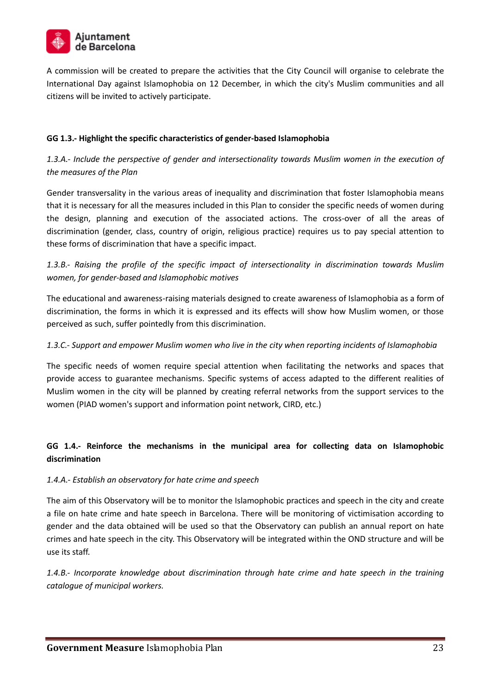

A commission will be created to prepare the activities that the City Council will organise to celebrate the International Day against Islamophobia on 12 December, in which the city's Muslim communities and all citizens will be invited to actively participate.

#### **GG 1.3.- Highlight the specific characteristics of gender-based Islamophobia**

*1.3.A.- Include the perspective of gender and intersectionality towards Muslim women in the execution of the measures of the Plan*

Gender transversality in the various areas of inequality and discrimination that foster Islamophobia means that it is necessary for all the measures included in this Plan to consider the specific needs of women during the design, planning and execution of the associated actions. The cross-over of all the areas of discrimination (gender, class, country of origin, religious practice) requires us to pay special attention to these forms of discrimination that have a specific impact.

*1.3.B.- Raising the profile of the specific impact of intersectionality in discrimination towards Muslim women, for gender-based and Islamophobic motives* 

The educational and awareness-raising materials designed to create awareness of Islamophobia as a form of discrimination, the forms in which it is expressed and its effects will show how Muslim women, or those perceived as such, suffer pointedly from this discrimination.

#### *1.3.C.- Support and empower Muslim women who live in the city when reporting incidents of Islamophobia*

The specific needs of women require special attention when facilitating the networks and spaces that provide access to guarantee mechanisms. Specific systems of access adapted to the different realities of Muslim women in the city will be planned by creating referral networks from the support services to the women (PIAD women's support and information point network, CIRD, etc.)

#### **GG 1.4.- Reinforce the mechanisms in the municipal area for collecting data on Islamophobic discrimination**

#### *1.4.A.- Establish an observatory for hate crime and speech*

The aim of this Observatory will be to monitor the Islamophobic practices and speech in the city and create a file on hate crime and hate speech in Barcelona. There will be monitoring of victimisation according to gender and the data obtained will be used so that the Observatory can publish an annual report on hate crimes and hate speech in the city. This Observatory will be integrated within the OND structure and will be use its staff.

*1.4.B.- Incorporate knowledge about discrimination through hate crime and hate speech in the training catalogue of municipal workers.*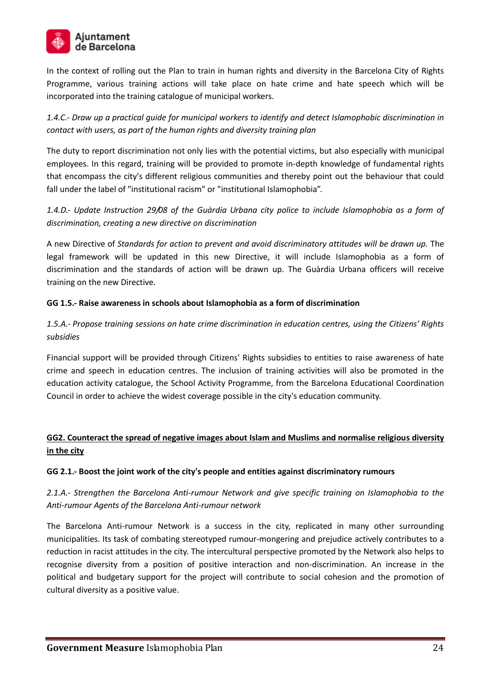

In the context of rolling out the Plan to train in human rights and diversity in the Barcelona City of Rights Programme, various training actions will take place on hate crime and hate speech which will be incorporated into the training catalogue of municipal workers.

*1.4.C.- Draw up a practical guide for municipal workers to identify and detect Islamophobic discrimination in contact with users, as part of the human rights and diversity training plan* 

The duty to report discrimination not only lies with the potential victims, but also especially with municipal employees. In this regard, training will be provided to promote in-depth knowledge of fundamental rights that encompass the city's different religious communities and thereby point out the behaviour that could fall under the label of "institutional racism" or "institutional Islamophobia".

*1.4.D.- Update Instruction 29/08 of the Guàrdia Urbana city police to include Islamophobia as a form of discrimination, creating a new directive on discrimination*

A new Directive of *Standards for action to prevent and avoid discriminatory attitudes will be drawn up.* The legal framework will be updated in this new Directive, it will include Islamophobia as a form of discrimination and the standards of action will be drawn up. The Guàrdia Urbana officers will receive training on the new Directive.

#### **GG 1.5.- Raise awareness in schools about Islamophobia as a form of discrimination**

*1.5.A.- Propose training sessions on hate crime discrimination in education centres, using the Citizens' Rights subsidies*

Financial support will be provided through Citizens' Rights subsidies to entities to raise awareness of hate crime and speech in education centres. The inclusion of training activities will also be promoted in the education activity catalogue, the School Activity Programme, from the Barcelona Educational Coordination Council in order to achieve the widest coverage possible in the city's education community.

## **GG2. Counteract the spread of negative images about Islam and Muslims and normalise religious diversity in the city**

#### **GG 2.1.- Boost the joint work of the city's people and entities against discriminatory rumours**

## *2.1.A.- Strengthen the Barcelona Anti-rumour Network and give specific training on Islamophobia to the Anti-rumour Agents of the Barcelona Anti-rumour network*

The Barcelona Anti-rumour Network is a success in the city, replicated in many other surrounding municipalities. Its task of combating stereotyped rumour-mongering and prejudice actively contributes to a reduction in racist attitudes in the city. The intercultural perspective promoted by the Network also helps to recognise diversity from a position of positive interaction and non-discrimination. An increase in the political and budgetary support for the project will contribute to social cohesion and the promotion of cultural diversity as a positive value.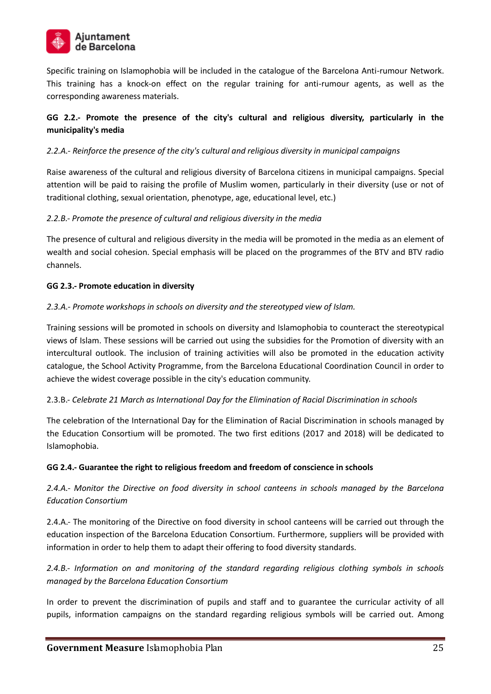

Specific training on Islamophobia will be included in the catalogue of the Barcelona Anti-rumour Network. This training has a knock-on effect on the regular training for anti-rumour agents, as well as the corresponding awareness materials.

## **GG 2.2.- Promote the presence of the city's cultural and religious diversity, particularly in the municipality's media**

#### *2.2.A.- Reinforce the presence of the city's cultural and religious diversity in municipal campaigns*

Raise awareness of the cultural and religious diversity of Barcelona citizens in municipal campaigns. Special attention will be paid to raising the profile of Muslim women, particularly in their diversity (use or not of traditional clothing, sexual orientation, phenotype, age, educational level, etc.)

#### *2.2.B.- Promote the presence of cultural and religious diversity in the media*

The presence of cultural and religious diversity in the media will be promoted in the media as an element of wealth and social cohesion. Special emphasis will be placed on the programmes of the BTV and BTV radio channels.

#### **GG 2.3.- Promote education in diversity**

#### *2.3.A.- Promote workshops in schools on diversity and the stereotyped view of Islam.*

Training sessions will be promoted in schools on diversity and Islamophobia to counteract the stereotypical views of Islam. These sessions will be carried out using the subsidies for the Promotion of diversity with an intercultural outlook. The inclusion of training activities will also be promoted in the education activity catalogue, the School Activity Programme, from the Barcelona Educational Coordination Council in order to achieve the widest coverage possible in the city's education community.

#### 2.3.B.- *Celebrate 21 March as International Day for the Elimination of Racial Discrimination in schools*

The celebration of the International Day for the Elimination of Racial Discrimination in schools managed by the Education Consortium will be promoted. The two first editions (2017 and 2018) will be dedicated to Islamophobia.

#### **GG 2.4.- Guarantee the right to religious freedom and freedom of conscience in schools**

*2.4.A.- Monitor the Directive on food diversity in school canteens in schools managed by the Barcelona Education Consortium*

2.4.A.- The monitoring of the Directive on food diversity in school canteens will be carried out through the education inspection of the Barcelona Education Consortium. Furthermore, suppliers will be provided with information in order to help them to adapt their offering to food diversity standards.

*2.4.B.- Information on and monitoring of the standard regarding religious clothing symbols in schools managed by the Barcelona Education Consortium*

In order to prevent the discrimination of pupils and staff and to guarantee the curricular activity of all pupils, information campaigns on the standard regarding religious symbols will be carried out. Among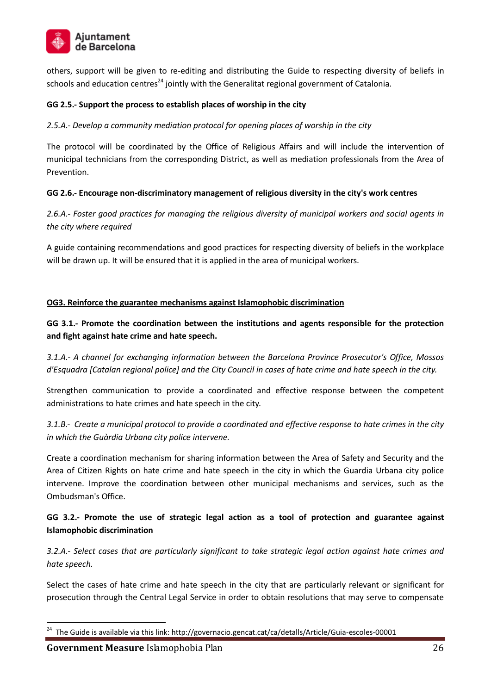

others, support will be given to re-editing and distributing the Guide to respecting diversity of beliefs in schools and education centres<sup>24</sup> jointly with the Generalitat regional government of Catalonia.

#### **GG 2.5.- Support the process to establish places of worship in the city**

#### *2.5.A.- Develop a community mediation protocol for opening places of worship in the city*

The protocol will be coordinated by the Office of Religious Affairs and will include the intervention of municipal technicians from the corresponding District, as well as mediation professionals from the Area of Prevention.

#### **GG 2.6.- Encourage non-discriminatory management of religious diversity in the city's work centres**

*2.6.A.- Foster good practices for managing the religious diversity of municipal workers and social agents in the city where required*

A guide containing recommendations and good practices for respecting diversity of beliefs in the workplace will be drawn up. It will be ensured that it is applied in the area of municipal workers.

#### **OG3. Reinforce the guarantee mechanisms against Islamophobic discrimination**

**GG 3.1.- Promote the coordination between the institutions and agents responsible for the protection and fight against hate crime and hate speech.**

*3.1.A.- A channel for exchanging information between the Barcelona Province Prosecutor's Office, Mossos d'Esquadra [Catalan regional police] and the City Council in cases of hate crime and hate speech in the city.*

Strengthen communication to provide a coordinated and effective response between the competent administrations to hate crimes and hate speech in the city.

*3.1.B.- Create a municipal protocol to provide a coordinated and effective response to hate crimes in the city in which the Guàrdia Urbana city police intervene.* 

Create a coordination mechanism for sharing information between the Area of Safety and Security and the Area of Citizen Rights on hate crime and hate speech in the city in which the Guardia Urbana city police intervene. Improve the coordination between other municipal mechanisms and services, such as the Ombudsman's Office.

#### **GG 3.2.- Promote the use of strategic legal action as a tool of protection and guarantee against Islamophobic discrimination**

*3.2.A.- Select cases that are particularly significant to take strategic legal action against hate crimes and hate speech.*

Select the cases of hate crime and hate speech in the city that are particularly relevant or significant for prosecution through the Central Legal Service in order to obtain resolutions that may serve to compensate

<sup>&</sup>lt;sup>24</sup> The Guide is available via this link: http://governacio.gencat.cat/ca/detalls/Article/Guia-escoles-00001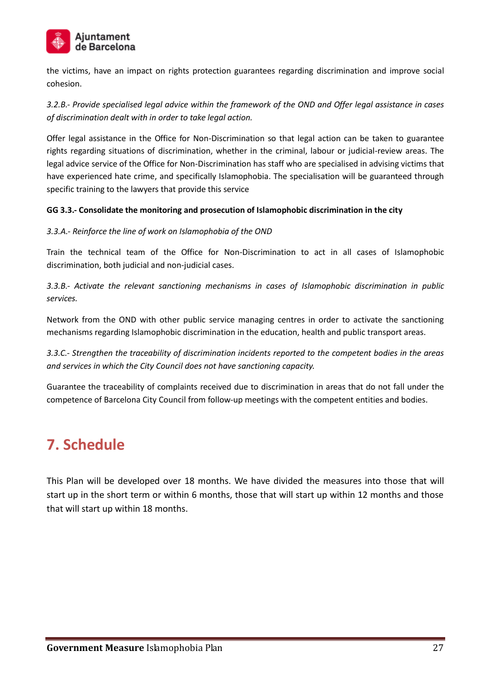

the victims, have an impact on rights protection guarantees regarding discrimination and improve social cohesion.

*3.2.B.- Provide specialised legal advice within the framework of the OND and Offer legal assistance in cases of discrimination dealt with in order to take legal action.*

Offer legal assistance in the Office for Non-Discrimination so that legal action can be taken to guarantee rights regarding situations of discrimination, whether in the criminal, labour or judicial-review areas. The legal advice service of the Office for Non-Discrimination has staff who are specialised in advising victims that have experienced hate crime, and specifically Islamophobia. The specialisation will be guaranteed through specific training to the lawyers that provide this service

#### **GG 3.3.- Consolidate the monitoring and prosecution of Islamophobic discrimination in the city**

#### *3.3.A.- Reinforce the line of work on Islamophobia of the OND*

Train the technical team of the Office for Non-Discrimination to act in all cases of Islamophobic discrimination, both judicial and non-judicial cases.

*3.3.B.- Activate the relevant sanctioning mechanisms in cases of Islamophobic discrimination in public services.*

Network from the OND with other public service managing centres in order to activate the sanctioning mechanisms regarding Islamophobic discrimination in the education, health and public transport areas.

*3.3.C.- Strengthen the traceability of discrimination incidents reported to the competent bodies in the areas and services in which the City Council does not have sanctioning capacity.*

Guarantee the traceability of complaints received due to discrimination in areas that do not fall under the competence of Barcelona City Council from follow-up meetings with the competent entities and bodies.

## **7. Schedule**

This Plan will be developed over 18 months. We have divided the measures into those that will start up in the short term or within 6 months, those that will start up within 12 months and those that will start up within 18 months.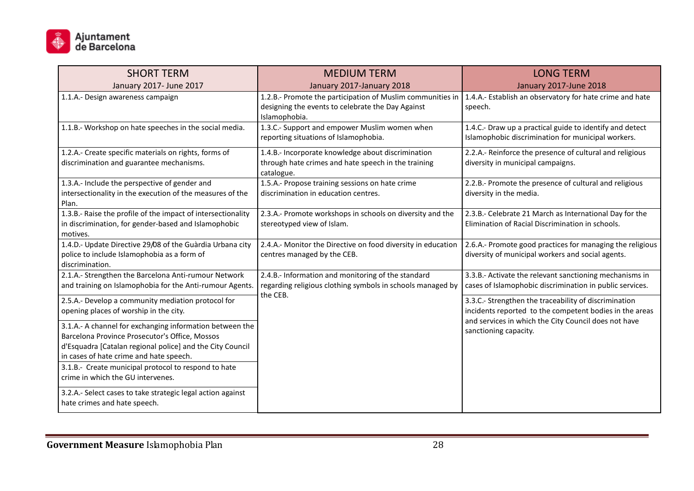

| <b>SHORT TERM</b>                                                                                                                                                                                                  | <b>MEDIUM TERM</b>                                                                                                                                                                        | <b>LONG TERM</b>                                                                                                                                                         |
|--------------------------------------------------------------------------------------------------------------------------------------------------------------------------------------------------------------------|-------------------------------------------------------------------------------------------------------------------------------------------------------------------------------------------|--------------------------------------------------------------------------------------------------------------------------------------------------------------------------|
| January 2017- June 2017                                                                                                                                                                                            | January 2017-January 2018                                                                                                                                                                 | January 2017-June 2018                                                                                                                                                   |
| 1.1.A.- Design awareness campaign                                                                                                                                                                                  | 1.2.B.- Promote the participation of Muslim communities in 1.4.A.- Establish an observatory for hate crime and hate<br>designing the events to celebrate the Day Against<br>Islamophobia. | speech.                                                                                                                                                                  |
| 1.1.B.- Workshop on hate speeches in the social media.                                                                                                                                                             | 1.3.C.- Support and empower Muslim women when<br>reporting situations of Islamophobia.                                                                                                    | 1.4.C.- Draw up a practical guide to identify and detect<br>Islamophobic discrimination for municipal workers.                                                           |
| 1.2.A.- Create specific materials on rights, forms of<br>discrimination and guarantee mechanisms.                                                                                                                  | 1.4.B.- Incorporate knowledge about discrimination<br>through hate crimes and hate speech in the training<br>catalogue.                                                                   | 2.2.A.- Reinforce the presence of cultural and religious<br>diversity in municipal campaigns.                                                                            |
| 1.3.A.- Include the perspective of gender and<br>intersectionality in the execution of the measures of the<br>Plan.                                                                                                | 1.5.A.- Propose training sessions on hate crime<br>discrimination in education centres.                                                                                                   | 2.2.B.- Promote the presence of cultural and religious<br>diversity in the media.                                                                                        |
| 1.3.B.- Raise the profile of the impact of intersectionality<br>in discrimination, for gender-based and Islamophobic<br>motives.                                                                                   | 2.3.A.- Promote workshops in schools on diversity and the<br>stereotyped view of Islam.                                                                                                   | 2.3.B.- Celebrate 21 March as International Day for the<br>Elimination of Racial Discrimination in schools.                                                              |
| 1.4.D.- Update Directive 29/08 of the Guàrdia Urbana city<br>police to include Islamophobia as a form of<br>discrimination.                                                                                        | 2.4.A.- Monitor the Directive on food diversity in education<br>centres managed by the CEB.                                                                                               | 2.6.A.- Promote good practices for managing the religious<br>diversity of municipal workers and social agents.                                                           |
| 2.1.A.- Strengthen the Barcelona Anti-rumour Network<br>and training on Islamophobia for the Anti-rumour Agents.                                                                                                   | 2.4.B.- Information and monitoring of the standard<br>regarding religious clothing symbols in schools managed by                                                                          | 3.3.B.- Activate the relevant sanctioning mechanisms in<br>cases of Islamophobic discrimination in public services.                                                      |
| 2.5.A.- Develop a community mediation protocol for<br>opening places of worship in the city.                                                                                                                       | the CEB.                                                                                                                                                                                  | 3.3.C.- Strengthen the traceability of discrimination<br>incidents reported to the competent bodies in the areas<br>and services in which the City Council does not have |
| 3.1.A.- A channel for exchanging information between the<br>Barcelona Province Prosecutor's Office, Mossos<br>d'Esquadra [Catalan regional police] and the City Council<br>in cases of hate crime and hate speech. |                                                                                                                                                                                           | sanctioning capacity.                                                                                                                                                    |
| 3.1.B.- Create municipal protocol to respond to hate<br>crime in which the GU intervenes.                                                                                                                          |                                                                                                                                                                                           |                                                                                                                                                                          |
| 3.2.A.- Select cases to take strategic legal action against<br>hate crimes and hate speech.                                                                                                                        |                                                                                                                                                                                           |                                                                                                                                                                          |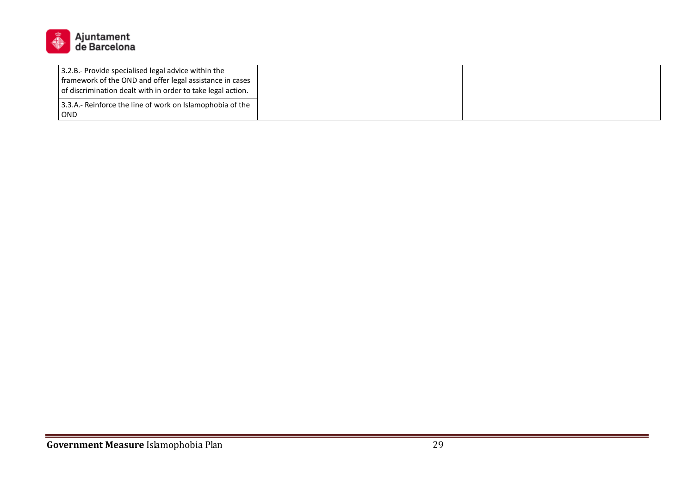

| 3.2.B.- Provide specialised legal advice within the<br>framework of the OND and offer legal assistance in cases<br>of discrimination dealt with in order to take legal action. |  |  |
|--------------------------------------------------------------------------------------------------------------------------------------------------------------------------------|--|--|
| 13.3.A.- Reinforce the line of work on Islamophobia of the                                                                                                                     |  |  |
| <b>OND</b>                                                                                                                                                                     |  |  |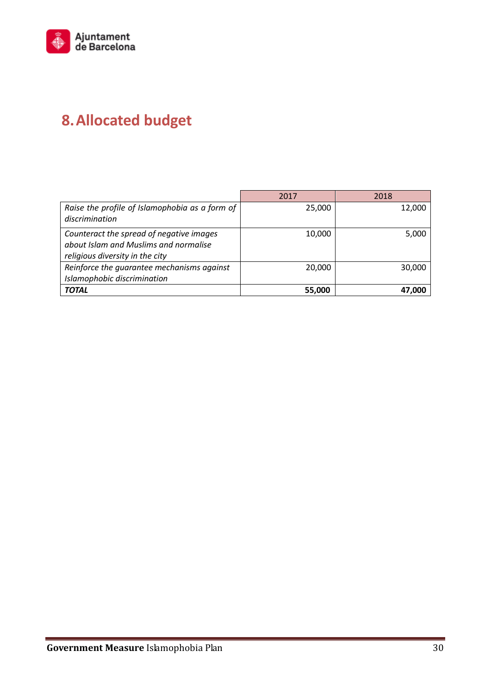

# **8.Allocated budget**

|                                                                                                                      | 2017   | 2018   |
|----------------------------------------------------------------------------------------------------------------------|--------|--------|
| Raise the profile of Islamophobia as a form of<br>discrimination                                                     | 25,000 | 12,000 |
| Counteract the spread of negative images<br>about Islam and Muslims and normalise<br>religious diversity in the city | 10,000 | 5,000  |
| Reinforce the quarantee mechanisms against<br>Islamophobic discrimination                                            | 20,000 | 30,000 |
| <b>TOTAL</b>                                                                                                         | 55,000 | 47.000 |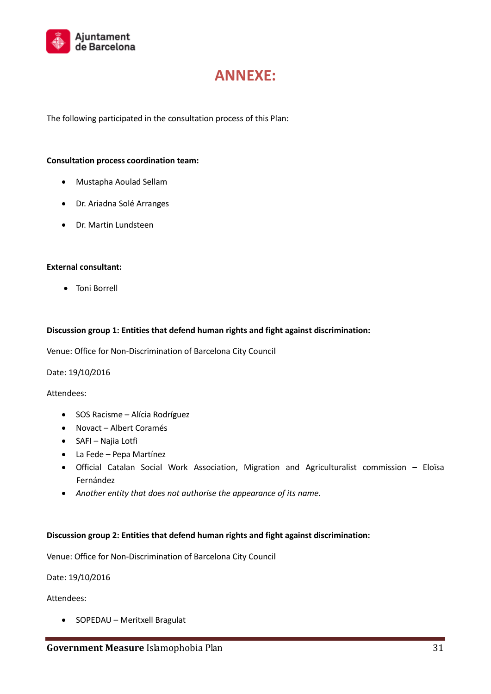

## **ANNEXE:**

The following participated in the consultation process of this Plan:

#### **Consultation process coordination team:**

- Mustapha Aoulad Sellam
- Dr. Ariadna Solé Arranges
- Dr. Martin Lundsteen

#### **External consultant:**

Toni Borrell

#### **Discussion group 1: Entities that defend human rights and fight against discrimination:**

Venue: Office for Non-Discrimination of Barcelona City Council

Date: 19/10/2016

Attendees:

- SOS Racisme Alícia Rodríguez
- Novact Albert Coramés
- SAFI Najia Lotfi
- La Fede Pepa Martínez
- Official Catalan Social Work Association, Migration and Agriculturalist commission Eloïsa Fernández
- *Another entity that does not authorise the appearance of its name.*

#### **Discussion group 2: Entities that defend human rights and fight against discrimination:**

Venue: Office for Non-Discrimination of Barcelona City Council

Date: 19/10/2016

Attendees:

• SOPEDAU – Meritxell Bragulat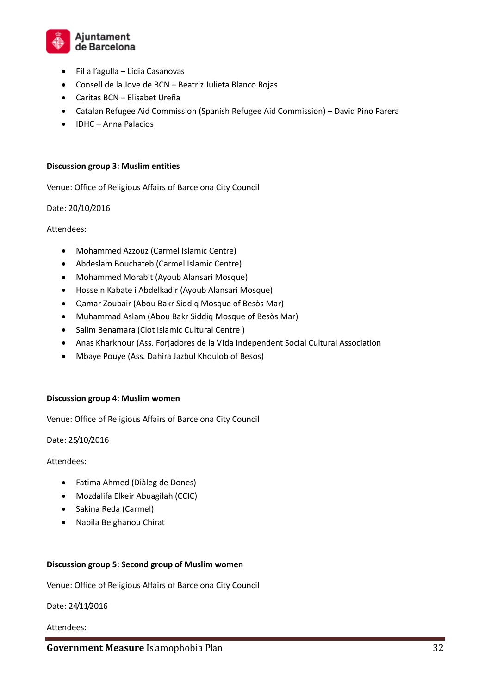

- Fil a l'agulla Lídia Casanovas
- Consell de la Jove de BCN Beatriz Julieta Blanco Rojas
- Caritas BCN Elisabet Ureña
- Catalan Refugee Aid Commission (Spanish Refugee Aid Commission) David Pino Parera
- IDHC Anna Palacios

#### **Discussion group 3: Muslim entities**

Venue: Office of Religious Affairs of Barcelona City Council

Date: 20/10/2016

Attendees:

- Mohammed Azzouz (Carmel Islamic Centre)
- Abdeslam Bouchateb (Carmel Islamic Centre)
- Mohammed Morabit (Ayoub Alansari Mosque)
- Hossein Kabate i Abdelkadir (Ayoub Alansari Mosque)
- Qamar Zoubair (Abou Bakr Siddiq Mosque of Besòs Mar)
- Muhammad Aslam (Abou Bakr Siddiq Mosque of Besòs Mar)
- Salim Benamara (Clot Islamic Cultural Centre)
- Anas Kharkhour (Ass. Forjadores de la Vida Independent Social Cultural Association
- Mbaye Pouye (Ass. Dahira Jazbul Khoulob of Besòs)

#### **Discussion group 4: Muslim women**

Venue: Office of Religious Affairs of Barcelona City Council

Date: 25/10/2016

#### Attendees:

- Fatima Ahmed (Diàleg de Dones)
- Mozdalifa Elkeir Abuagilah (CCIC)
- Sakina Reda (Carmel)
- Nabila Belghanou Chirat

#### **Discussion group 5: Second group of Muslim women**

Venue: Office of Religious Affairs of Barcelona City Council

Date: 24/11/2016

#### Attendees: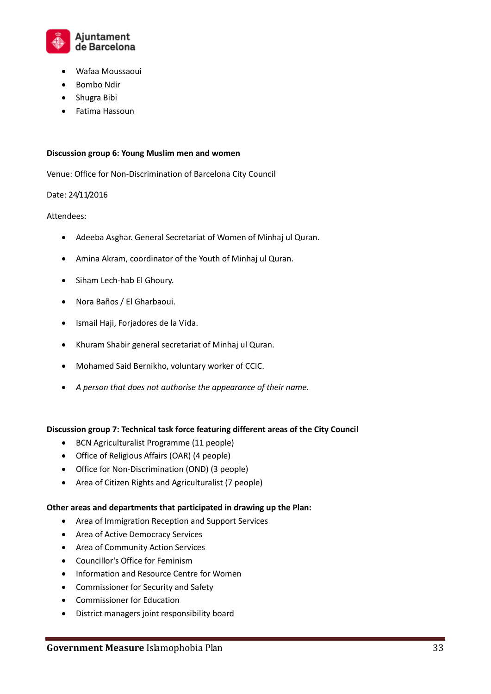

- Wafaa Moussaoui
- Bombo Ndir
- Shugra Bibi
- Fatima Hassoun

#### **Discussion group 6: Young Muslim men and women**

Venue: Office for Non-Discrimination of Barcelona City Council

#### Date: 24/11/2016

#### Attendees:

- Adeeba Asghar. General Secretariat of Women of Minhaj ul Quran.
- Amina Akram, coordinator of the Youth of Minhaj ul Quran.
- Siham Lech-hab El Ghoury.
- Nora Baños / El Gharbaoui.
- Ismail Haji, Forjadores de la Vida.
- Khuram Shabir general secretariat of Minhaj ul Quran.
- Mohamed Said Bernikho, voluntary worker of CCIC.
- *A person that does not authorise the appearance of their name.*

#### **Discussion group 7: Technical task force featuring different areas of the City Council**

- BCN Agriculturalist Programme (11 people)
- Office of Religious Affairs (OAR) (4 people)
- Office for Non-Discrimination (OND) (3 people)
- Area of Citizen Rights and Agriculturalist (7 people)

#### **Other areas and departments that participated in drawing up the Plan:**

- Area of Immigration Reception and Support Services
- Area of Active Democracy Services
- Area of Community Action Services
- Councillor's Office for Feminism
- Information and Resource Centre for Women
- Commissioner for Security and Safety
- Commissioner for Education
- District managers joint responsibility board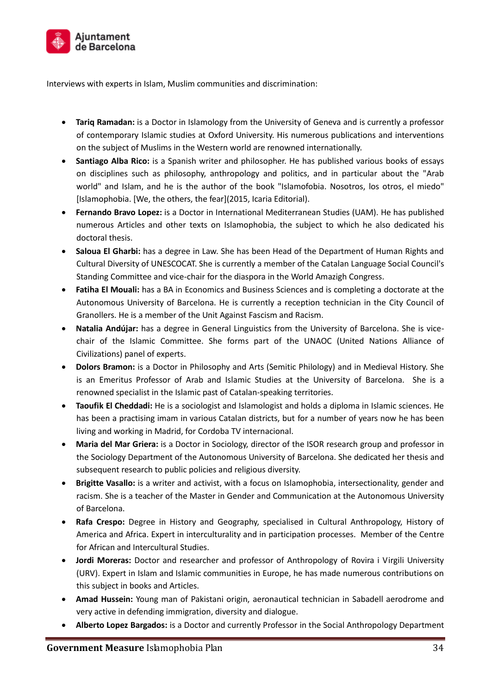

Interviews with experts in Islam, Muslim communities and discrimination:

- **Tariq Ramadan:** is a Doctor in Islamology from the University of Geneva and is currently a professor of contemporary Islamic studies at Oxford University. His numerous publications and interventions on the subject of Muslims in the Western world are renowned internationally.
- **Santiago Alba Rico:** is a Spanish writer and philosopher. He has published various books of essays on disciplines such as philosophy, anthropology and politics, and in particular about the "Arab world" and Islam, and he is the author of the book "Islamofobia. Nosotros, los otros, el miedo" [Islamophobia. [We, the others, the fear](2015, Icaria Editorial).
- **Fernando Bravo Lopez:** is a Doctor in International Mediterranean Studies (UAM). He has published numerous Articles and other texts on Islamophobia, the subject to which he also dedicated his doctoral thesis.
- **Saloua El Gharbi:** has a degree in Law. She has been Head of the Department of Human Rights and Cultural Diversity of UNESCOCAT. She is currently a member of the Catalan Language Social Council's Standing Committee and vice-chair for the diaspora in the World Amazigh Congress.
- **Fatiha El Mouali:** has a BA in Economics and Business Sciences and is completing a doctorate at the Autonomous University of Barcelona. He is currently a reception technician in the City Council of Granollers. He is a member of the Unit Against Fascism and Racism.
- **Natalia Andújar:** has a degree in General Linguistics from the University of Barcelona. She is vicechair of the Islamic Committee. She forms part of the UNAOC (United Nations Alliance of Civilizations) panel of experts.
- **Dolors Bramon:** is a Doctor in Philosophy and Arts (Semitic Philology) and in Medieval History. She is an Emeritus Professor of Arab and Islamic Studies at the University of Barcelona. She is a renowned specialist in the Islamic past of Catalan-speaking territories.
- **Taoufik El Cheddadi:** He is a sociologist and Islamologist and holds a diploma in Islamic sciences. He has been a practising imam in various Catalan districts, but for a number of years now he has been living and working in Madrid, for Cordoba TV internacional.
- **Maria del Mar Griera:** is a Doctor in Sociology, director of the ISOR research group and professor in the Sociology Department of the Autonomous University of Barcelona. She dedicated her thesis and subsequent research to public policies and religious diversity.
- **Brigitte Vasallo:** is a writer and activist, with a focus on Islamophobia, intersectionality, gender and racism. She is a teacher of the Master in Gender and Communication at the Autonomous University of Barcelona.
- **Rafa Crespo:** Degree in History and Geography, specialised in Cultural Anthropology, History of America and Africa. Expert in interculturality and in participation processes. Member of the Centre for African and Intercultural Studies.
- **Jordi Moreras:** Doctor and researcher and professor of Anthropology of Rovira i Virgili University (URV). Expert in Islam and Islamic communities in Europe, he has made numerous contributions on this subject in books and Articles.
- **Amad Hussein:** Young man of Pakistani origin, aeronautical technician in Sabadell aerodrome and very active in defending immigration, diversity and dialogue.
- **Alberto Lopez Bargados:** is a Doctor and currently Professor in the Social Anthropology Department